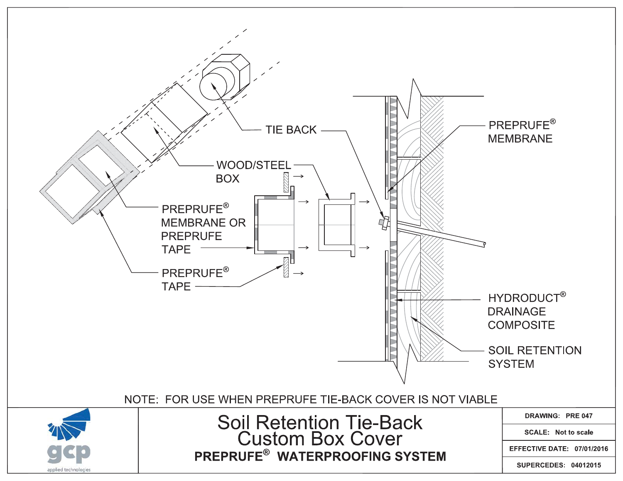